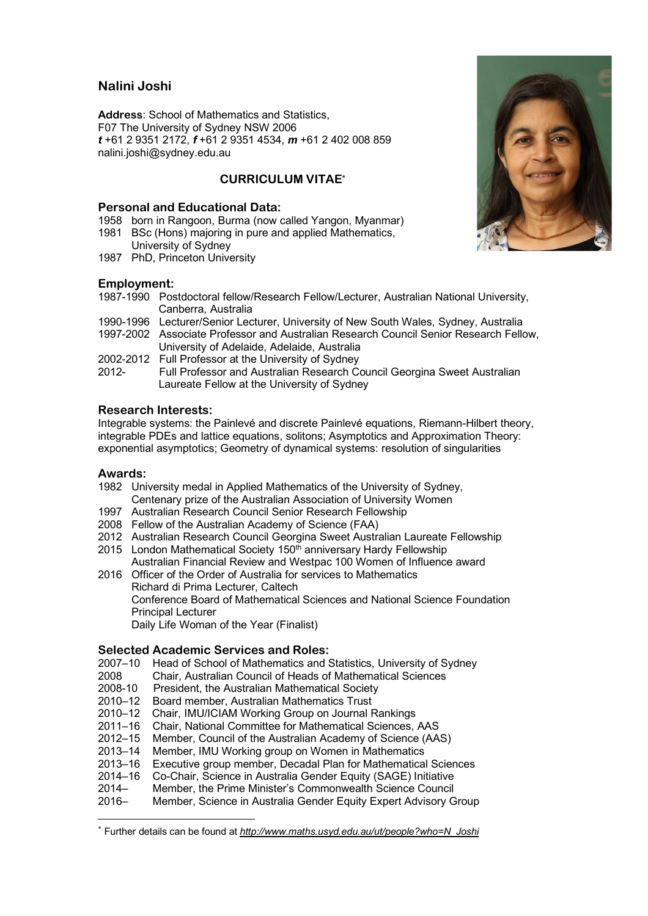# **Nalini Joshi**

**Address**: School of Mathematics and Statistics, F07 The University of Sydney NSW 2006 *t* +61 2 9351 2172, *f* +61 2 9351 4534, *m* +61 2 402 008 859 nalini.joshi@sydney.edu.au

# **CURRICULUM VITAE\***

### **Personal and Educational Data:**

- 1958 born in Rangoon, Burma (now called Yangon, Myanmar) 1981 BSc (Hons) majoring in pure and applied Mathematics.
- University of Sydney
- 1987 PhD, Princeton University

## **Employment:**

- 1987-1990 Postdoctoral fellow/Research Fellow/Lecturer, Australian National University, Canberra, Australia
- 1990-1996 Lecturer/Senior Lecturer, University of New South Wales, Sydney, Australia
- 1997-2002 Associate Professor and Australian Research Council Senior Research Fellow, University of Adelaide, Adelaide, Australia
- 2002-2012 Full Professor at the University of Sydney
- 2012- Full Professor and Australian Research Council Georgina Sweet Australian Laureate Fellow at the University of Sydney

## **Research Interests:**

Integrable systems: the Painlevé and discrete Painlevé equations, Riemann-Hilbert theory, integrable PDEs and lattice equations, solitons; Asymptotics and Approximation Theory: exponential asymptotics; Geometry of dynamical systems: resolution of singularities

### **Awards:**

- 1982 University medal in Applied Mathematics of the University of Sydney, Centenary prize of the Australian Association of University Women
- 1997 Australian Research Council Senior Research Fellowship
- 2008 Fellow of the Australian Academy of Science (FAA)
- 2012 Australian Research Council Georgina Sweet Australian Laureate Fellowship
- 2015 London Mathematical Society 150<sup>th</sup> anniversary Hardy Fellowship Australian Financial Review and Westpac 100 Women of Influence award
- 2016 Officer of the Order of Australia for services to Mathematics Richard di Prima Lecturer, Caltech Conference Board of Mathematical Sciences and National Science Foundation Principal Lecturer Daily Life Woman of the Year (Finalist)

#### **Selected Academic Services and Roles:**

- 2007–10 Head of School of Mathematics and Statistics, University of Sydney
- 2008 Chair, Australian Council of Heads of Mathematical Sciences
- President, the Australian Mathematical Society
- 2010–12 Board member, Australian Mathematics Trust
- 2010–12 Chair, IMU/ICIAM Working Group on Journal Rankings
- 2011–16 Chair, National Committee for Mathematical Sciences, AAS
- 2012–15 Member, Council of the Australian Academy of Science (AAS)
- 2013–14 Member, IMU Working group on Women in Mathematics
- 2013–16 Executive group member, Decadal Plan for Mathematical Sciences
- 2014–16 Co-Chair, Science in Australia Gender Equity (SAGE) Initiative
- 2014– Member, the Prime Minister's Commonwealth Science Council
- 2016– Member, Science in Australia Gender Equity Expert Advisory Group

#### \* Further details can be found at *http://www.maths.usyd.edu.au/ut/people?who=N\_Joshi*